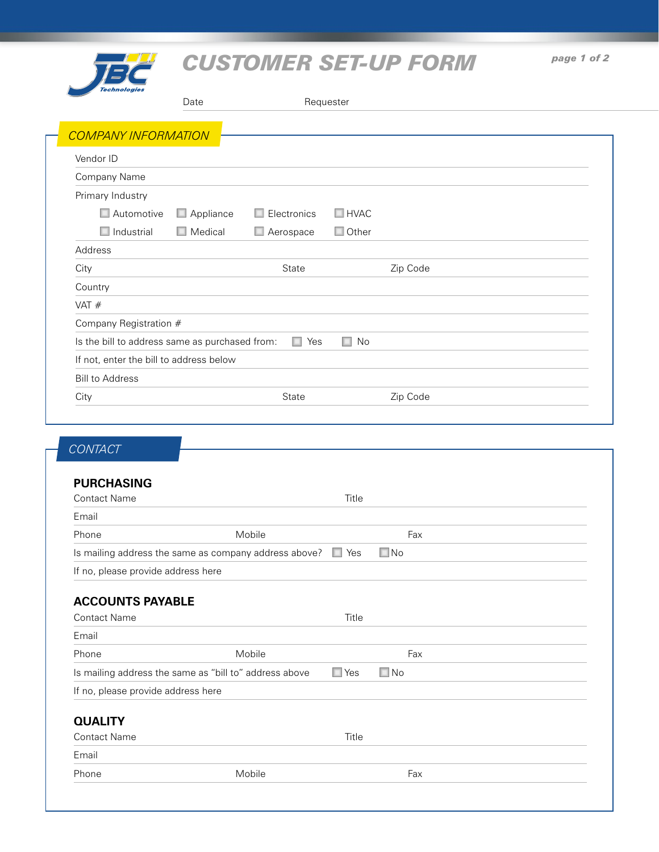

# *CUSTOMER SET-UP FORM*

|                                                | Date           | Requester   |              |          |  |
|------------------------------------------------|----------------|-------------|--------------|----------|--|
| <b>COMPANY INFORMATION</b>                     |                |             |              |          |  |
| Vendor ID                                      |                |             |              |          |  |
| Company Name                                   |                |             |              |          |  |
| Primary Industry                               |                |             |              |          |  |
| Automotive                                     | Appliance      | Electronics | $\Box$ HVAC  |          |  |
| $\Box$ Industrial                              | $\Box$ Medical | Aerospace   | $\Box$ Other |          |  |
| Address                                        |                |             |              |          |  |
| City                                           |                | State       |              | Zip Code |  |
| Country                                        |                |             |              |          |  |
| VAT $#$                                        |                |             |              |          |  |
| Company Registration #                         |                |             |              |          |  |
| Is the bill to address same as purchased from: |                | Yes<br>ш    | $\Box$ No    |          |  |
| If not, enter the bill to address below        |                |             |              |          |  |
| <b>Bill to Address</b>                         |                |             |              |          |  |
| City                                           |                | State       |              | Zip Code |  |

### *CONTACT*

#### **PURCHASING**

| <b>PURCHASING</b><br><b>Contact Name</b> |                                                        | Title      |           |  |
|------------------------------------------|--------------------------------------------------------|------------|-----------|--|
| Email                                    |                                                        |            |           |  |
| Phone                                    | Mobile                                                 |            | Fax       |  |
|                                          | Is mailing address the same as company address above?  |            | $\Box$ No |  |
| If no, please provide address here       |                                                        |            |           |  |
| <b>ACCOUNTS PAYABLE</b>                  |                                                        |            |           |  |
| <b>Contact Name</b>                      |                                                        |            |           |  |
| Email                                    |                                                        |            |           |  |
| Phone                                    | Mobile                                                 |            | Fax       |  |
|                                          | Is mailing address the same as "bill to" address above | $\Box$ Yes | No<br>ш   |  |
| If no, please provide address here       |                                                        |            |           |  |
| <b>QUALITY</b>                           |                                                        |            |           |  |
| <b>Contact Name</b>                      |                                                        | Title      |           |  |
| Email                                    |                                                        |            |           |  |
| Phone                                    | Mobile                                                 |            | Fax       |  |